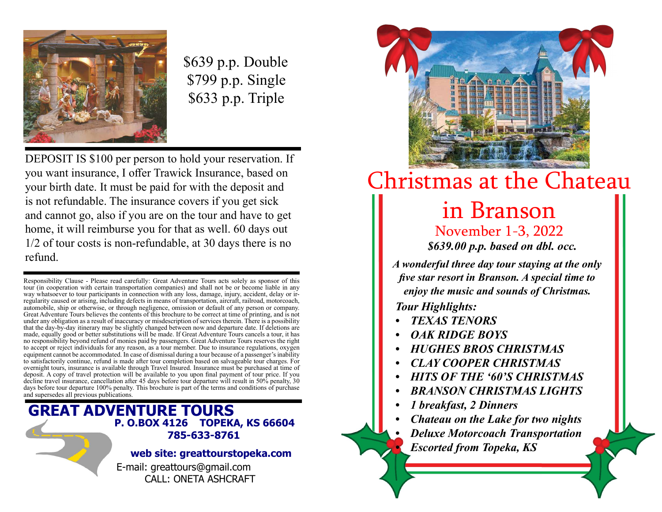

\$639 p.p. Double \$799 p.p. Single \$633 p.p. Triple

DEPOSIT IS \$100 per person to hold your reservation. If you want insurance, I offer Trawick Insurance, based on your birth date. It must be paid for with the deposit and is not refundable. The insurance covers if you get sick and cannot go, also if you are on the tour and have to get home, it will reimburse you for that as well. 60 days out 1/2 of tour costs is non-refundable, at 30 days there is no refund.

Responsibility Clause - Please read carefully: Great Adventure Tours acts solely as sponsor of this tour (in cooperation with certain transportation companies) and shall not be or become liable in any way whatsoever to tour participants in connection with any loss, damage, injury, accident, delay or irregularity caused or arising, including defects in means of transportation, aircraft, railroad, motorcoach, automobile, ship or otherwise, or through negligence, omission or default of any person or company. Great Adventure Tours believes the contents of this brochure to be correct at time of printing, and is not under any obligation as a result of inaccuracy or misdescription of services therein. There is a possibility that the day-by-day itinerary may be slightly changed between now and departure date. If deletions are made, equally good or better substitutions will be made. If Great Adventure Tours cancels a tour, it has no responsibility beyond refund of monies paid by passengers. Great Adventure Tours reserves the right to accept or reject individuals for any reason, as a tour member. Due to insurance regulations, oxygen equipment cannot be accommodated. In case of dismissal during a tour because of a passenger's inability to satisfactorily continue, refund is made after tour completion based on salvageable tour charges. For overnight tours, insurance is available through Travel Insured. Insurance must be purchased at time of deposit. A copy of travel protection will be available to you upon final payment of tour price. If you decline travel insurance, cancellation after 45 days before tour departure will result in 50% penalty, 30 days before tour departure 100% penalty. This brochure is part of the terms and conditions of purchase and supersedes all previous publications.

## GREAT ADVENTURE TOURS P. O.BOX 4126 TOPEKA, KS 66604 785-633-8761

## web site: greattourstopeka.com

E-mail: greattours@gmail.com CALL: ONETA ASHCRAFT



## Christmas at the Chateau

## in Branson

November 1-3, 2022 \$639.00 p.p. based on dbl. occ.

A wonderful three day tour staying at the only five star resort in Branson. A special time to enjoy the music and sounds of Christmas.

Tour Highlights:

- TEXAS TENORS
- OAK RIDGE BOYS
- HUGHES BROS CHRISTMAS
- CLAY COOPER CHRISTMAS
- HITS OF THE '60'S CHRISTMAS
- BRANSON CHRISTMAS LIGHTS
- 1 breakfast, 2 Dinners
- Chateau on the Lake for two nights
- Deluxe Motorcoach Transportation
- **Escorted from Topeka, KS**